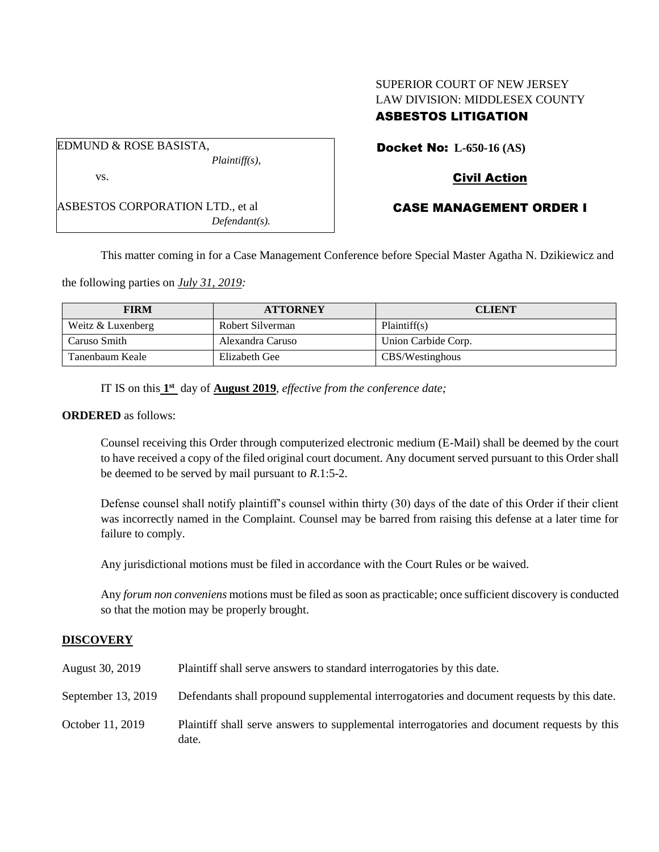# SUPERIOR COURT OF NEW JERSEY LAW DIVISION: MIDDLESEX COUNTY ASBESTOS LITIGATION

Docket No: **L-650-16 (AS)**

# Civil Action

# CASE MANAGEMENT ORDER I

This matter coming in for a Case Management Conference before Special Master Agatha N. Dzikiewicz and

the following parties on *July 31, 2019:*

ASBESTOS CORPORATION LTD., et al

| <b>FIRM</b>       | <b>ATTORNEY</b>  | <b>CLIENT</b>       |
|-------------------|------------------|---------------------|
| Weitz & Luxenberg | Robert Silverman | Plaintiff(s)        |
| Caruso Smith      | Alexandra Caruso | Union Carbide Corp. |
| Tanenbaum Keale   | Elizabeth Gee    | CBS/Westinghous     |

IT IS on this **1 st** day of **August 2019**, *effective from the conference date;*

#### **ORDERED** as follows:

Counsel receiving this Order through computerized electronic medium (E-Mail) shall be deemed by the court to have received a copy of the filed original court document. Any document served pursuant to this Order shall be deemed to be served by mail pursuant to *R*.1:5-2.

Defense counsel shall notify plaintiff's counsel within thirty (30) days of the date of this Order if their client was incorrectly named in the Complaint. Counsel may be barred from raising this defense at a later time for failure to comply.

Any jurisdictional motions must be filed in accordance with the Court Rules or be waived.

Any *forum non conveniens* motions must be filed as soon as practicable; once sufficient discovery is conducted so that the motion may be properly brought.

#### **DISCOVERY**

| August 30, 2019    | Plaintiff shall serve answers to standard interrogatories by this date.                              |
|--------------------|------------------------------------------------------------------------------------------------------|
| September 13, 2019 | Defendants shall propound supplemental interrogatories and document requests by this date.           |
| October 11, 2019   | Plaintiff shall serve answers to supplemental interrogatories and document requests by this<br>date. |

EDMUND & ROSE BASISTA, *Plaintiff(s),*

*Defendant(s).*

vs.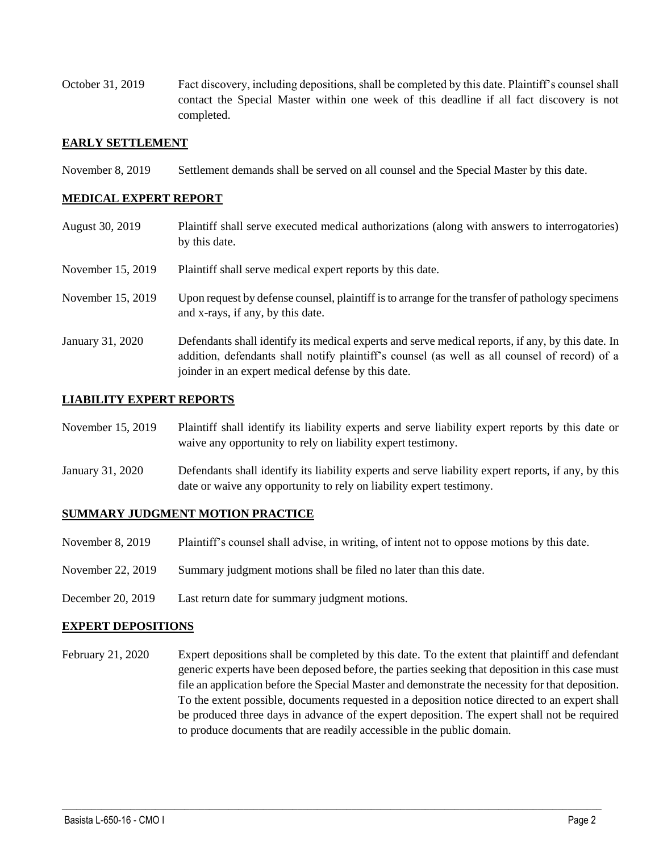October 31, 2019 Fact discovery, including depositions, shall be completed by this date. Plaintiff's counsel shall contact the Special Master within one week of this deadline if all fact discovery is not completed.

#### **EARLY SETTLEMENT**

November 8, 2019 Settlement demands shall be served on all counsel and the Special Master by this date.

### **MEDICAL EXPERT REPORT**

- August 30, 2019 Plaintiff shall serve executed medical authorizations (along with answers to interrogatories) by this date.
- November 15, 2019 Plaintiff shall serve medical expert reports by this date.
- November 15, 2019 Upon request by defense counsel, plaintiff is to arrange for the transfer of pathology specimens and x-rays, if any, by this date.
- January 31, 2020 Defendants shall identify its medical experts and serve medical reports, if any, by this date. In addition, defendants shall notify plaintiff's counsel (as well as all counsel of record) of a joinder in an expert medical defense by this date.

# **LIABILITY EXPERT REPORTS**

- November 15, 2019 Plaintiff shall identify its liability experts and serve liability expert reports by this date or waive any opportunity to rely on liability expert testimony.
- January 31, 2020 Defendants shall identify its liability experts and serve liability expert reports, if any, by this date or waive any opportunity to rely on liability expert testimony.

#### **SUMMARY JUDGMENT MOTION PRACTICE**

- November 8, 2019 Plaintiff's counsel shall advise, in writing, of intent not to oppose motions by this date.
- November 22, 2019 Summary judgment motions shall be filed no later than this date.
- December 20, 2019 Last return date for summary judgment motions.

#### **EXPERT DEPOSITIONS**

February 21, 2020 Expert depositions shall be completed by this date. To the extent that plaintiff and defendant generic experts have been deposed before, the parties seeking that deposition in this case must file an application before the Special Master and demonstrate the necessity for that deposition. To the extent possible, documents requested in a deposition notice directed to an expert shall be produced three days in advance of the expert deposition. The expert shall not be required to produce documents that are readily accessible in the public domain.

 $\_$  , and the set of the set of the set of the set of the set of the set of the set of the set of the set of the set of the set of the set of the set of the set of the set of the set of the set of the set of the set of th